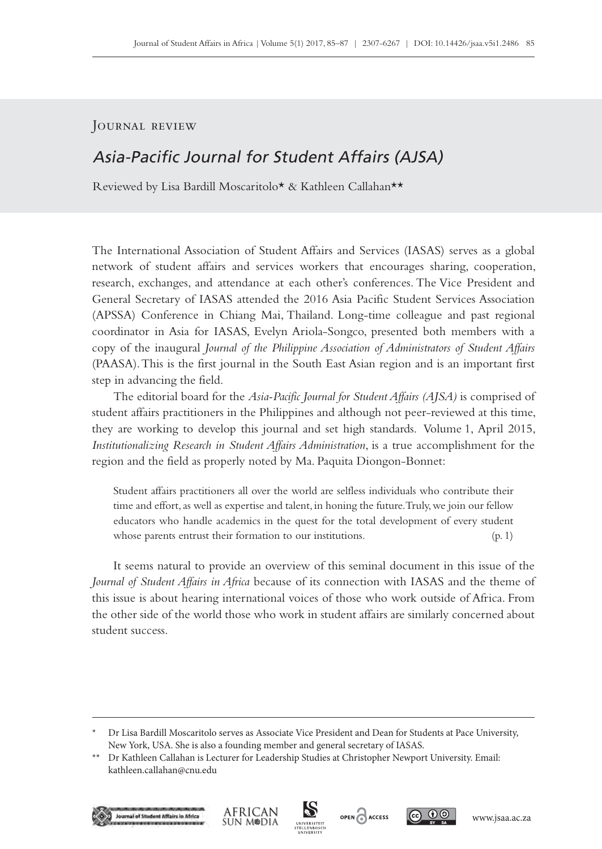## Journal review

## Asia-Pacific Journal for Student Affairs (AJSA)

Reviewed by Lisa Bardill Moscaritolo\* & Kathleen Callahan\*\*

The International Association of Student Affairs and Services (IASAS) serves as a global network of student affairs and services workers that encourages sharing, cooperation, research, exchanges, and attendance at each other's conferences. The Vice President and General Secretary of IASAS attended the 2016 Asia Pacific Student Services Association (APSSA) Conference in Chiang Mai, Thailand. Long-time colleague and past regional coordinator in Asia for IASAS, Evelyn Ariola-Songco, presented both members with a copy of the inaugural *Journal of the Philippine Association of Administrators of Student Affairs* (PAASA). This is the first journal in the South East Asian region and is an important first step in advancing the field.

The editorial board for the *Asia-Pacific Journal for Student Affairs (AJSA)* is comprised of student affairs practitioners in the Philippines and although not peer-reviewed at this time, they are working to develop this journal and set high standards. Volume 1, April 2015, *Institutionalizing Research in Student Affairs Administration*, is a true accomplishment for the region and the field as properly noted by Ma. Paquita Diongon-Bonnet:

Student affairs practitioners all over the world are selfless individuals who contribute their time and effort, as well as expertise and talent, in honing the future. Truly, we join our fellow educators who handle academics in the quest for the total development of every student whose parents entrust their formation to our institutions. (p. 1)

It seems natural to provide an overview of this seminal document in this issue of the *Journal of Student Affairs in Africa* because of its connection with IASAS and the theme of this issue is about hearing international voices of those who work outside of Africa. From the other side of the world those who work in student affairs are similarly concerned about student success.

<sup>\*\*</sup> Dr Kathleen Callahan is Lecturer for Leadership Studies at Christopher Newport University. Email: [kathleen.callahan@cnu.edu](mailto:kathleen.callahan%40cnu.edu?subject=)











<sup>\*</sup> Dr Lisa Bardill Moscaritolo serves as Associate Vice President and Dean for Students at Pace University, New York, USA. She is also a founding member and general secretary of IASAS.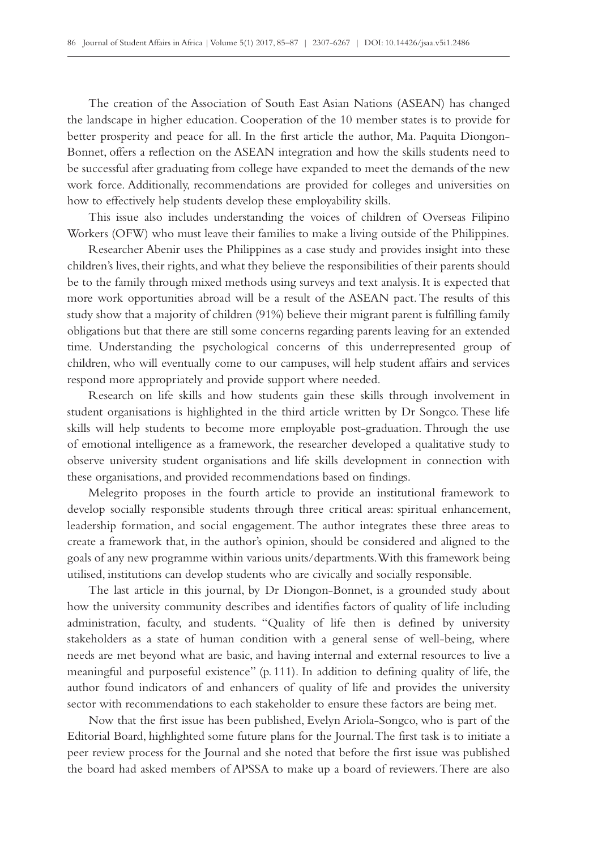The creation of the Association of South East Asian Nations (ASEAN) has changed the landscape in higher education. Cooperation of the 10 member states is to provide for better prosperity and peace for all. In the first article the author, Ma. Paquita Diongon-Bonnet, offers a reflection on the ASEAN integration and how the skills students need to be successful after graduating from college have expanded to meet the demands of the new work force. Additionally, recommendations are provided for colleges and universities on how to effectively help students develop these employability skills.

This issue also includes understanding the voices of children of Overseas Filipino Workers (OFW) who must leave their families to make a living outside of the Philippines.

Researcher Abenir uses the Philippines as a case study and provides insight into these children's lives, their rights, and what they believe the responsibilities of their parents should be to the family through mixed methods using surveys and text analysis. It is expected that more work opportunities abroad will be a result of the ASEAN pact. The results of this study show that a majority of children (91%) believe their migrant parent is fulfilling family obligations but that there are still some concerns regarding parents leaving for an extended time. Understanding the psychological concerns of this underrepresented group of children, who will eventually come to our campuses, will help student affairs and services respond more appropriately and provide support where needed.

Research on life skills and how students gain these skills through involvement in student organisations is highlighted in the third article written by Dr Songco. These life skills will help students to become more employable post-graduation. Through the use of emotional intelligence as a framework, the researcher developed a qualitative study to observe university student organisations and life skills development in connection with these organisations, and provided recommendations based on findings.

Melegrito proposes in the fourth article to provide an institutional framework to develop socially responsible students through three critical areas: spiritual enhancement, leadership formation, and social engagement. The author integrates these three areas to create a framework that, in the author's opinion, should be considered and aligned to the goals of any new programme within various units/departments. With this framework being utilised, institutions can develop students who are civically and socially responsible.

The last article in this journal, by Dr Diongon-Bonnet, is a grounded study about how the university community describes and identifies factors of quality of life including administration, faculty, and students. "Quality of life then is defined by university stakeholders as a state of human condition with a general sense of well-being, where needs are met beyond what are basic, and having internal and external resources to live a meaningful and purposeful existence" (p. 111). In addition to defining quality of life, the author found indicators of and enhancers of quality of life and provides the university sector with recommendations to each stakeholder to ensure these factors are being met.

Now that the first issue has been published, Evelyn Ariola-Songco, who is part of the Editorial Board, highlighted some future plans for the Journal. The first task is to initiate a peer review process for the Journal and she noted that before the first issue was published the board had asked members of APSSA to make up a board of reviewers. There are also